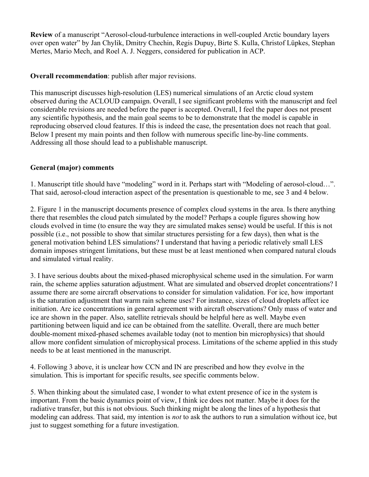**Review** of a manuscript "Aerosol-cloud-turbulence interactions in well-coupled Arctic boundary layers over open water" by Jan Chylik, Dmitry Chechin, Regis Dupuy, Birte S. Kulla, Christof Lüpkes, Stephan Mertes, Mario Mech, and Roel A. J. Neggers, considered for publication in ACP.

**Overall recommendation**: publish after major revisions.

This manuscript discusses high-resolution (LES) numerical simulations of an Arctic cloud system observed during the ACLOUD campaign. Overall, I see significant problems with the manuscript and feel considerable revisions are needed before the paper is accepted. Overall, I feel the paper does not present any scientific hypothesis, and the main goal seems to be to demonstrate that the model is capable in reproducing observed cloud features. If this is indeed the case, the presentation does not reach that goal. Below I present my main points and then follow with numerous specific line-by-line comments. Addressing all those should lead to a publishable manuscript.

## **General (major) comments**

1. Manuscript title should have "modeling" word in it. Perhaps start with "Modeling of aerosol-cloud…". That said, aerosol-cloud interaction aspect of the presentation is questionable to me, see 3 and 4 below.

2. Figure 1 in the manuscript documents presence of complex cloud systems in the area. Is there anything there that resembles the cloud patch simulated by the model? Perhaps a couple figures showing how clouds evolved in time (to ensure the way they are simulated makes sense) would be useful. If this is not possible (i.e., not possible to show that similar structures persisting for a few days), then what is the general motivation behind LES simulations? I understand that having a periodic relatively small LES domain imposes stringent limitations, but these must be at least mentioned when compared natural clouds and simulated virtual reality.

3. I have serious doubts about the mixed-phased microphysical scheme used in the simulation. For warm rain, the scheme applies saturation adjustment. What are simulated and observed droplet concentrations? I assume there are some aircraft observations to consider for simulation validation. For ice, how important is the saturation adjustment that warm rain scheme uses? For instance, sizes of cloud droplets affect ice initiation. Are ice concentrations in general agreement with aircraft observations? Only mass of water and ice are shown in the paper. Also, satellite retrievals should be helpful here as well. Maybe even partitioning between liquid and ice can be obtained from the satellite. Overall, there are much better double-moment mixed-phased schemes available today (not to mention bin microphysics) that should allow more confident simulation of microphysical process. Limitations of the scheme applied in this study needs to be at least mentioned in the manuscript.

4. Following 3 above, it is unclear how CCN and IN are prescribed and how they evolve in the simulation. This is important for specific results, see specific comments below.

5. When thinking about the simulated case, I wonder to what extent presence of ice in the system is important. From the basic dynamics point of view, I think ice does not matter. Maybe it does for the radiative transfer, but this is not obvious. Such thinking might be along the lines of a hypothesis that modeling can address. That said, my intention is *not* to ask the authors to run a simulation without ice, but just to suggest something for a future investigation.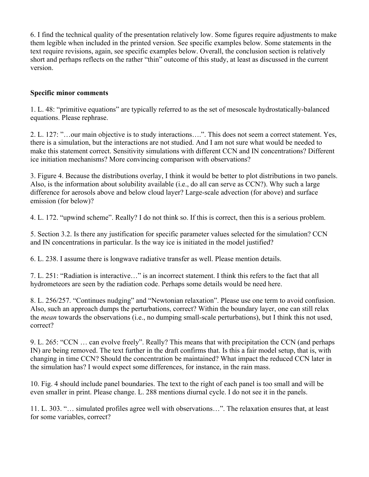6. I find the technical quality of the presentation relatively low. Some figures require adjustments to make them legible when included in the printed version. See specific examples below. Some statements in the text require revisions, again, see specific examples below. Overall, the conclusion section is relatively short and perhaps reflects on the rather "thin" outcome of this study, at least as discussed in the current version.

## **Specific minor comments**

1. L. 48: "primitive equations" are typically referred to as the set of mesoscale hydrostatically-balanced equations. Please rephrase.

2. L. 127: "…our main objective is to study interactions….". This does not seem a correct statement. Yes, there is a simulation, but the interactions are not studied. And I am not sure what would be needed to make this statement correct. Sensitivity simulations with different CCN and IN concentrations? Different ice initiation mechanisms? More convincing comparison with observations?

3. Figure 4. Because the distributions overlay, I think it would be better to plot distributions in two panels. Also, is the information about solubility available (i.e., do all can serve as CCN?). Why such a large difference for aerosols above and below cloud layer? Large-scale advection (for above) and surface emission (for below)?

4. L. 172. "upwind scheme". Really? I do not think so. If this is correct, then this is a serious problem.

5. Section 3.2. Is there any justification for specific parameter values selected for the simulation? CCN and IN concentrations in particular. Is the way ice is initiated in the model justified?

6. L. 238. I assume there is longwave radiative transfer as well. Please mention details.

7. L. 251: "Radiation is interactive…" is an incorrect statement. I think this refers to the fact that all hydrometeors are seen by the radiation code. Perhaps some details would be need here.

8. L. 256/257. "Continues nudging" and "Newtonian relaxation". Please use one term to avoid confusion. Also, such an approach dumps the perturbations, correct? Within the boundary layer, one can still relax the *mean* towards the observations (i.e., no dumping small-scale perturbations), but I think this not used, correct?

9. L. 265: "CCN … can evolve freely". Really? This means that with precipitation the CCN (and perhaps IN) are being removed. The text further in the draft confirms that. Is this a fair model setup, that is, with changing in time CCN? Should the concentration be maintained? What impact the reduced CCN later in the simulation has? I would expect some differences, for instance, in the rain mass.

10. Fig. 4 should include panel boundaries. The text to the right of each panel is too small and will be even smaller in print. Please change. L. 288 mentions diurnal cycle. I do not see it in the panels.

11. L. 303. "… simulated profiles agree well with observations…". The relaxation ensures that, at least for some variables, correct?